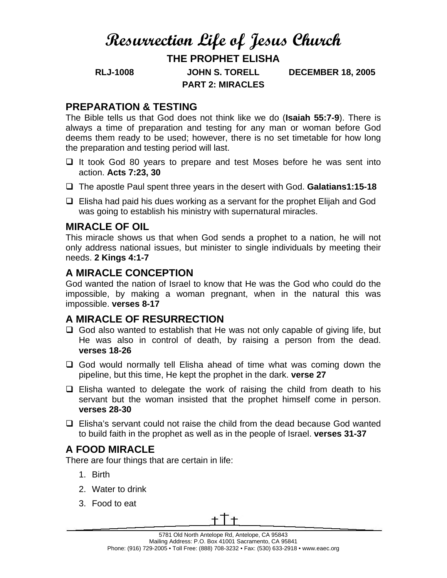# **Resurrection Life of Jesus Church**

# **THE PROPHET ELISHA**

**RLJ-1008 JOHN S. TORELL DECEMBER 18, 2005 PART 2: MIRACLES** 

#### **PREPARATION & TESTING**

The Bible tells us that God does not think like we do (**Isaiah 55:7-9**). There is always a time of preparation and testing for any man or woman before God deems them ready to be used; however, there is no set timetable for how long the preparation and testing period will last.

- $\Box$  It took God 80 years to prepare and test Moses before he was sent into action. **Acts 7:23, 30**
- The apostle Paul spent three years in the desert with God. **Galatians1:15-18**
- $\Box$  Elisha had paid his dues working as a servant for the prophet Elijah and God was going to establish his ministry with supernatural miracles.

#### **MIRACLE OF OIL**

This miracle shows us that when God sends a prophet to a nation, he will not only address national issues, but minister to single individuals by meeting their needs. **2 Kings 4:1-7** 

#### **A MIRACLE CONCEPTION**

God wanted the nation of Israel to know that He was the God who could do the impossible, by making a woman pregnant, when in the natural this was impossible. **verses 8-17**

#### **A MIRACLE OF RESURRECTION**

- $\Box$  God also wanted to establish that He was not only capable of giving life, but He was also in control of death, by raising a person from the dead. **verses 18-26**
- God would normally tell Elisha ahead of time what was coming down the pipeline, but this time, He kept the prophet in the dark. **verse 27**
- $\Box$  Elisha wanted to delegate the work of raising the child from death to his servant but the woman insisted that the prophet himself come in person. **verses 28-30**
- $\Box$  Elisha's servant could not raise the child from the dead because God wanted to build faith in the prophet as well as in the people of Israel. **verses 31-37**

## **A FOOD MIRACLE**

There are four things that are certain in life:

- 1. Birth
- 2. Water to drink
- 3. Food to eat